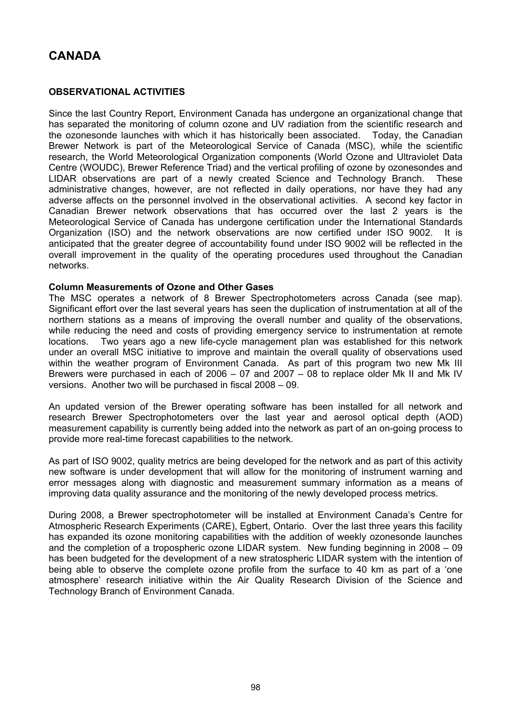# **CANADA**

# **OBSERVATIONAL ACTIVITIES**

Since the last Country Report, Environment Canada has undergone an organizational change that has separated the monitoring of column ozone and UV radiation from the scientific research and the ozonesonde launches with which it has historically been associated. Today, the Canadian Brewer Network is part of the Meteorological Service of Canada (MSC), while the scientific research, the World Meteorological Organization components (World Ozone and Ultraviolet Data Centre (WOUDC), Brewer Reference Triad) and the vertical profiling of ozone by ozonesondes and LIDAR observations are part of a newly created Science and Technology Branch. These administrative changes, however, are not reflected in daily operations, nor have they had any adverse affects on the personnel involved in the observational activities. A second key factor in Canadian Brewer network observations that has occurred over the last 2 years is the Meteorological Service of Canada has undergone certification under the International Standards Organization (ISO) and the network observations are now certified under ISO 9002. It is anticipated that the greater degree of accountability found under ISO 9002 will be reflected in the overall improvement in the quality of the operating procedures used throughout the Canadian networks.

## **Column Measurements of Ozone and Other Gases**

The MSC operates a network of 8 Brewer Spectrophotometers across Canada (see map). Significant effort over the last several years has seen the duplication of instrumentation at all of the northern stations as a means of improving the overall number and quality of the observations, while reducing the need and costs of providing emergency service to instrumentation at remote locations. Two years ago a new life-cycle management plan was established for this network under an overall MSC initiative to improve and maintain the overall quality of observations used within the weather program of Environment Canada. As part of this program two new Mk III Brewers were purchased in each of 2006 – 07 and 2007 – 08 to replace older Mk II and Mk IV versions. Another two will be purchased in fiscal 2008 – 09.

An updated version of the Brewer operating software has been installed for all network and research Brewer Spectrophotometers over the last year and aerosol optical depth (AOD) measurement capability is currently being added into the network as part of an on-going process to provide more real-time forecast capabilities to the network.

As part of ISO 9002, quality metrics are being developed for the network and as part of this activity new software is under development that will allow for the monitoring of instrument warning and error messages along with diagnostic and measurement summary information as a means of improving data quality assurance and the monitoring of the newly developed process metrics.

During 2008, a Brewer spectrophotometer will be installed at Environment Canada's Centre for Atmospheric Research Experiments (CARE), Egbert, Ontario. Over the last three years this facility has expanded its ozone monitoring capabilities with the addition of weekly ozonesonde launches and the completion of a tropospheric ozone LIDAR system. New funding beginning in 2008 – 09 has been budgeted for the development of a new stratospheric LIDAR system with the intention of being able to observe the complete ozone profile from the surface to 40 km as part of a 'one atmosphere' research initiative within the Air Quality Research Division of the Science and Technology Branch of Environment Canada.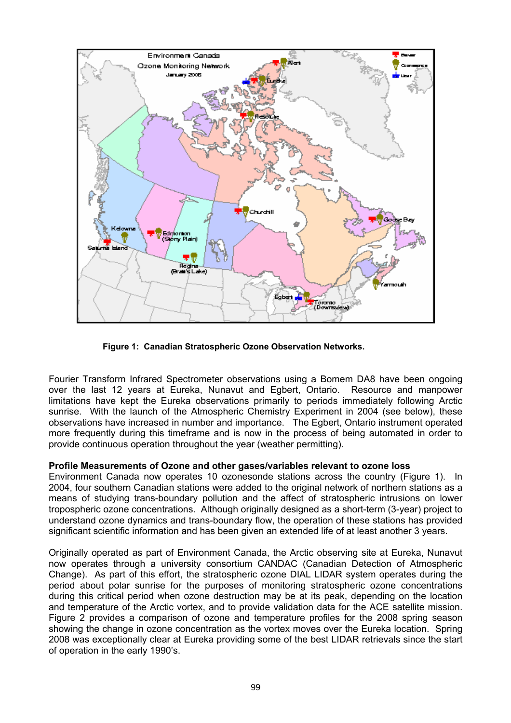

**Figure 1: Canadian Stratospheric Ozone Observation Networks.**

Fourier Transform Infrared Spectrometer observations using a Bomem DA8 have been ongoing over the last 12 years at Eureka, Nunavut and Egbert, Ontario. Resource and manpower limitations have kept the Eureka observations primarily to periods immediately following Arctic sunrise. With the launch of the Atmospheric Chemistry Experiment in 2004 (see below), these observations have increased in number and importance. The Egbert, Ontario instrument operated more frequently during this timeframe and is now in the process of being automated in order to provide continuous operation throughout the year (weather permitting).

## **Profile Measurements of Ozone and other gases/variables relevant to ozone loss**

Environment Canada now operates 10 ozonesonde stations across the country (Figure 1). In 2004, four southern Canadian stations were added to the original network of northern stations as a means of studying trans-boundary pollution and the affect of stratospheric intrusions on lower tropospheric ozone concentrations. Although originally designed as a short-term (3-year) project to understand ozone dynamics and trans-boundary flow, the operation of these stations has provided significant scientific information and has been given an extended life of at least another 3 years.

Originally operated as part of Environment Canada, the Arctic observing site at Eureka, Nunavut now operates through a university consortium CANDAC (Canadian Detection of Atmospheric Change). As part of this effort, the stratospheric ozone DIAL LIDAR system operates during the period about polar sunrise for the purposes of monitoring stratospheric ozone concentrations during this critical period when ozone destruction may be at its peak, depending on the location and temperature of the Arctic vortex, and to provide validation data for the ACE satellite mission. Figure 2 provides a comparison of ozone and temperature profiles for the 2008 spring season showing the change in ozone concentration as the vortex moves over the Eureka location. Spring 2008 was exceptionally clear at Eureka providing some of the best LIDAR retrievals since the start of operation in the early 1990's.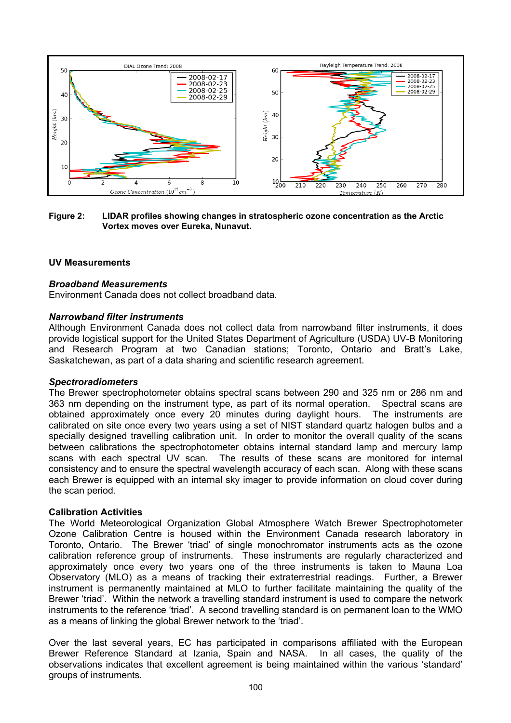

**Figure 2: LIDAR profiles showing changes in stratospheric ozone concentration as the Arctic Vortex moves over Eureka, Nunavut.**

## **UV Measurements**

#### *Broadband Measurements*

Environment Canada does not collect broadband data.

#### *Narrowband filter instruments*

Although Environment Canada does not collect data from narrowband filter instruments, it does provide logistical support for the United States Department of Agriculture (USDA) UV-B Monitoring and Research Program at two Canadian stations; Toronto, Ontario and Bratt's Lake, Saskatchewan, as part of a data sharing and scientific research agreement.

#### *Spectroradiometers*

The Brewer spectrophotometer obtains spectral scans between 290 and 325 nm or 286 nm and 363 nm depending on the instrument type, as part of its normal operation. Spectral scans are obtained approximately once every 20 minutes during daylight hours. The instruments are calibrated on site once every two years using a set of NIST standard quartz halogen bulbs and a specially designed travelling calibration unit. In order to monitor the overall quality of the scans between calibrations the spectrophotometer obtains internal standard lamp and mercury lamp scans with each spectral UV scan. The results of these scans are monitored for internal consistency and to ensure the spectral wavelength accuracy of each scan. Along with these scans each Brewer is equipped with an internal sky imager to provide information on cloud cover during the scan period.

#### **Calibration Activities**

The World Meteorological Organization Global Atmosphere Watch Brewer Spectrophotometer Ozone Calibration Centre is housed within the Environment Canada research laboratory in Toronto, Ontario. The Brewer 'triad' of single monochromator instruments acts as the ozone calibration reference group of instruments. These instruments are regularly characterized and approximately once every two years one of the three instruments is taken to Mauna Loa Observatory (MLO) as a means of tracking their extraterrestrial readings. Further, a Brewer instrument is permanently maintained at MLO to further facilitate maintaining the quality of the Brewer 'triad'. Within the network a travelling standard instrument is used to compare the network instruments to the reference 'triad'. A second travelling standard is on permanent loan to the WMO as a means of linking the global Brewer network to the 'triad'.

Over the last several years, EC has participated in comparisons affiliated with the European Brewer Reference Standard at Izania, Spain and NASA. In all cases, the quality of the observations indicates that excellent agreement is being maintained within the various 'standard' groups of instruments.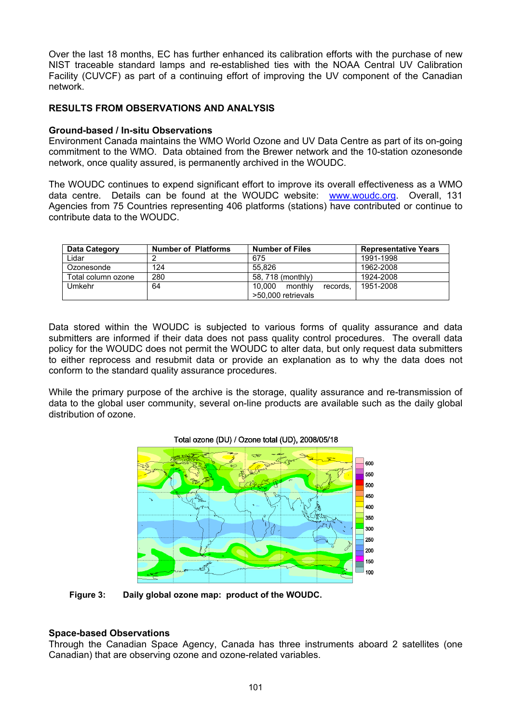Over the last 18 months, EC has further enhanced its calibration efforts with the purchase of new NIST traceable standard lamps and re-established ties with the NOAA Central UV Calibration Facility (CUVCF) as part of a continuing effort of improving the UV component of the Canadian network.

# **RESULTS FROM OBSERVATIONS AND ANALYSIS**

## **Ground-based / In-situ Observations**

Environment Canada maintains the WMO World Ozone and UV Data Centre as part of its on-going commitment to the WMO. Data obtained from the Brewer network and the 10-station ozonesonde network, once quality assured, is permanently archived in the WOUDC.

The WOUDC continues to expend significant effort to improve its overall effectiveness as a WMO data centre. Details can be found at the WOUDC website: [www.woudc.org](http://www.woudc.org/). Overall, 131 Agencies from 75 Countries representing 406 platforms (stations) have contributed or continue to contribute data to the WOUDC.

| Data Category      | <b>Number of Platforms</b> | <b>Number of Files</b>                              | <b>Representative Years</b> |
|--------------------|----------------------------|-----------------------------------------------------|-----------------------------|
| Lidar              |                            | 675                                                 | 1991-1998                   |
| Ozonesonde         | 124                        | 55.826                                              | 1962-2008                   |
| Total column ozone | 280                        | 58, 718 (monthly)                                   | 1924-2008                   |
| Umkehr             | 64                         | 10.000<br>monthly<br>records.<br>>50,000 retrievals | 1951-2008                   |

Data stored within the WOUDC is subjected to various forms of quality assurance and data submitters are informed if their data does not pass quality control procedures. The overall data policy for the WOUDC does not permit the WOUDC to alter data, but only request data submitters to either reprocess and resubmit data or provide an explanation as to why the data does not conform to the standard quality assurance procedures.

While the primary purpose of the archive is the storage, quality assurance and re-transmission of data to the global user community, several on-line products are available such as the daily global distribution of ozone.



#### Total ozone (DU) / Ozone total (UD), 2008/05/18

**Figure 3: Daily global ozone map: product of the WOUDC.** 

#### **Space-based Observations**

Through the Canadian Space Agency, Canada has three instruments aboard 2 satellites (one Canadian) that are observing ozone and ozone-related variables.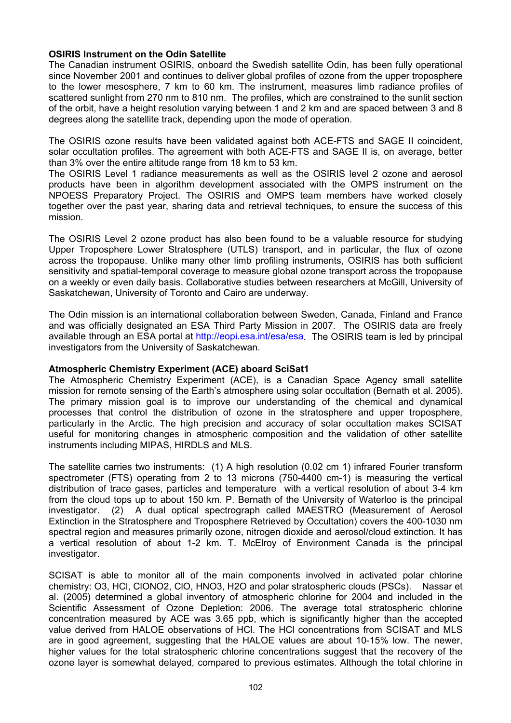## **OSIRIS Instrument on the Odin Satellite**

The Canadian instrument OSIRIS, onboard the Swedish satellite Odin, has been fully operational since November 2001 and continues to deliver global profiles of ozone from the upper troposphere to the lower mesosphere, 7 km to 60 km. The instrument, measures limb radiance profiles of scattered sunlight from 270 nm to 810 nm. The profiles, which are constrained to the sunlit section of the orbit, have a height resolution varying between 1 and 2 km and are spaced between 3 and 8 degrees along the satellite track, depending upon the mode of operation.

The OSIRIS ozone results have been validated against both ACE-FTS and SAGE II coincident, solar occultation profiles. The agreement with both ACE-FTS and SAGE II is, on average, better than 3% over the entire altitude range from 18 km to 53 km.

The OSIRIS Level 1 radiance measurements as well as the OSIRIS level 2 ozone and aerosol products have been in algorithm development associated with the OMPS instrument on the NPOESS Preparatory Project. The OSIRIS and OMPS team members have worked closely together over the past year, sharing data and retrieval techniques, to ensure the success of this mission.

The OSIRIS Level 2 ozone product has also been found to be a valuable resource for studying Upper Troposphere Lower Stratosphere (UTLS) transport, and in particular, the flux of ozone across the tropopause. Unlike many other limb profiling instruments, OSIRIS has both sufficient sensitivity and spatial-temporal coverage to measure global ozone transport across the tropopause on a weekly or even daily basis. Collaborative studies between researchers at McGill, University of Saskatchewan, University of Toronto and Cairo are underway.

The Odin mission is an international collaboration between Sweden, Canada, Finland and France and was officially designated an ESA Third Party Mission in 2007. The OSIRIS data are freely available through an ESA portal at <http://eopi.esa.int/esa/esa>. The OSIRIS team is led by principal investigators from the University of Saskatchewan.

#### **Atmospheric Chemistry Experiment (ACE) aboard SciSat1**

The Atmospheric Chemistry Experiment (ACE), is a Canadian Space Agency small satellite mission for remote sensing of the Earth's atmosphere using solar occultation (Bernath et al. 2005). The primary mission goal is to improve our understanding of the chemical and dynamical processes that control the distribution of ozone in the stratosphere and upper troposphere, particularly in the Arctic. The high precision and accuracy of solar occultation makes SCISAT useful for monitoring changes in atmospheric composition and the validation of other satellite instruments including MIPAS, HIRDLS and MLS.

The satellite carries two instruments: (1) A high resolution (0.02 cm 1) infrared Fourier transform spectrometer (FTS) operating from 2 to 13 microns (750-4400 cm-1) is measuring the vertical distribution of trace gases, particles and temperature with a vertical resolution of about 3-4 km from the cloud tops up to about 150 km. P. Bernath of the University of Waterloo is the principal investigator. (2) A dual optical spectrograph called MAESTRO (Measurement of Aerosol Extinction in the Stratosphere and Troposphere Retrieved by Occultation) covers the 400-1030 nm spectral region and measures primarily ozone, nitrogen dioxide and aerosol/cloud extinction. It has a vertical resolution of about 1-2 km. T. McElroy of Environment Canada is the principal investigator.

SCISAT is able to monitor all of the main components involved in activated polar chlorine chemistry: O3, HCl, ClONO2, ClO, HNO3, H2O and polar stratospheric clouds (PSCs). Nassar et al. (2005) determined a global inventory of atmospheric chlorine for 2004 and included in the Scientific Assessment of Ozone Depletion: 2006. The average total stratospheric chlorine concentration measured by ACE was 3.65 ppb, which is significantly higher than the accepted value derived from HALOE observations of HCl. The HCl concentrations from SCISAT and MLS are in good agreement, suggesting that the HALOE values are about 10-15% low. The newer, higher values for the total stratospheric chlorine concentrations suggest that the recovery of the ozone layer is somewhat delayed, compared to previous estimates. Although the total chlorine in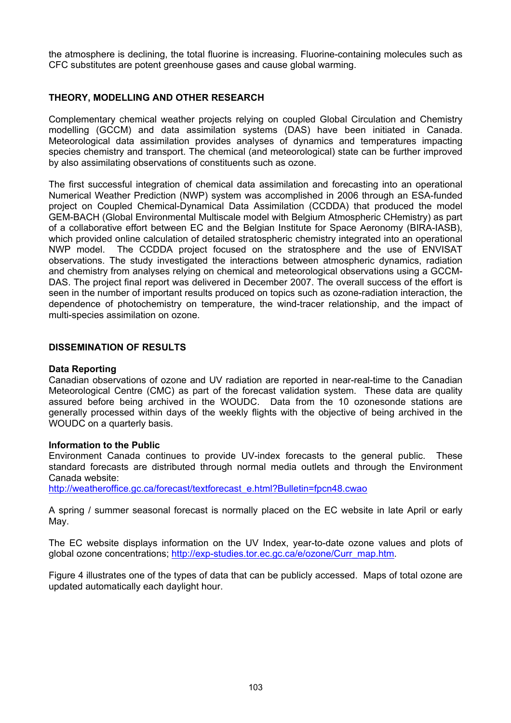the atmosphere is declining, the total fluorine is increasing. Fluorine-containing molecules such as CFC substitutes are potent greenhouse gases and cause global warming.

# **THEORY, MODELLING AND OTHER RESEARCH**

Complementary chemical weather projects relying on coupled Global Circulation and Chemistry modelling (GCCM) and data assimilation systems (DAS) have been initiated in Canada. Meteorological data assimilation provides analyses of dynamics and temperatures impacting species chemistry and transport. The chemical (and meteorological) state can be further improved by also assimilating observations of constituents such as ozone.

The first successful integration of chemical data assimilation and forecasting into an operational Numerical Weather Prediction (NWP) system was accomplished in 2006 through an ESA-funded project on Coupled Chemical-Dynamical Data Assimilation (CCDDA) that produced the model GEM-BACH (Global Environmental Multiscale model with Belgium Atmospheric CHemistry) as part of a collaborative effort between EC and the Belgian Institute for Space Aeronomy (BIRA-IASB), which provided online calculation of detailed stratospheric chemistry integrated into an operational NWP model. The CCDDA project focused on the stratosphere and the use of ENVISAT observations. The study investigated the interactions between atmospheric dynamics, radiation and chemistry from analyses relying on chemical and meteorological observations using a GCCM-DAS. The project final report was delivered in December 2007. The overall success of the effort is seen in the number of important results produced on topics such as ozone-radiation interaction, the dependence of photochemistry on temperature, the wind-tracer relationship, and the impact of multi-species assimilation on ozone.

## **DISSEMINATION OF RESULTS**

## **Data Reporting**

Canadian observations of ozone and UV radiation are reported in near-real-time to the Canadian Meteorological Centre (CMC) as part of the forecast validation system. These data are quality assured before being archived in the WOUDC. Data from the 10 ozonesonde stations are generally processed within days of the weekly flights with the objective of being archived in the WOUDC on a quarterly basis.

#### **Information to the Public**

Environment Canada continues to provide UV-index forecasts to the general public. These standard forecasts are distributed through normal media outlets and through the Environment Canada website:

[http://weatheroffice.gc.ca/forecast/textforecast\\_e.html?Bulletin=fpcn48.cwao](http://weatheroffice.gc.ca/forecast/textforecast_e.html?Bulletin=fpcn48.cwao)

A spring / summer seasonal forecast is normally placed on the EC website in late April or early May.

The EC website displays information on the UV Index, year-to-date ozone values and plots of global ozone concentrations; [http://exp-studies.tor.ec.gc.ca/e/ozone/Curr\\_map.htm](http://exp-studies.tor.ec.gc.ca/e/ozone/Curr_map.htm).

Figure 4 illustrates one of the types of data that can be publicly accessed. Maps of total ozone are updated automatically each daylight hour.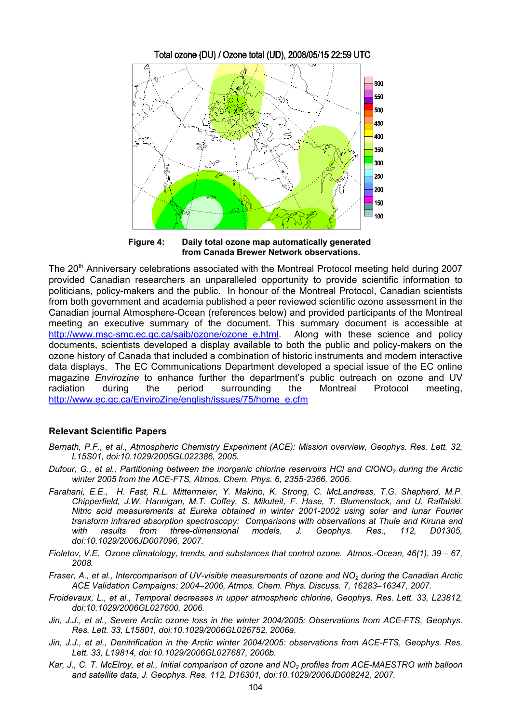

**Figure 4: Daily total ozone map automatically generated from Canada Brewer Network observations.**

The 20<sup>th</sup> Anniversary celebrations associated with the Montreal Protocol meeting held during 2007 provided Canadian researchers an unparalleled opportunity to provide scientific information to politicians, policy-makers and the public. In honour of the Montreal Protocol, Canadian scientists from both government and academia published a peer reviewed scientific ozone assessment in the Canadian journal Atmosphere-Ocean (references below) and provided participants of the Montreal meeting an executive summary of the document. This summary document is accessible at http://www.msc-smc.ec.gc.ca/saib/ozone/ozone e.html. Along with these science and policy documents, scientists developed a display available to both the public and policy-makers on the ozone history of Canada that included a combination of historic instruments and modern interactive data displays. The EC Communications Department developed a special issue of the EC online magazine *Envirozine* to enhance further the department's public outreach on ozone and UV radiation during the period surrounding the Montreal Protocol meeting, [http://www.ec.gc.ca/EnviroZine/english/issues/75/home\\_e.cfm](http://www.ec.gc.ca/EnviroZine/english/issues/75/home_e.cfm)

#### **Relevant Scientific Papers**

- *Bernath, P.F., et al., Atmospheric Chemistry Experiment (ACE): Mission overview, Geophys. Res. Lett. 32, L15S01, doi:10.1029/2005GL022386, 2005.*
- *Dufour, G., et al., Partitioning between the inorganic chlorine reservoirs HCl and ClONO<sub>2</sub> during the Arctic winter 2005 from the ACE-FTS, Atmos. Chem. Phys. 6, 2355-2366, 2006.*
- *Farahani, E.E., H. Fast, R.L. Mittermeier, Y. Makino, K. Strong, C. McLandress, T.G. Shepherd, M.P. Chipperfield, J.W. Hannigan, M.T. Coffey, S. Mikuteit, F. Hase, T. Blumenstock, and U. Raffalski. Nitric acid measurements at Eureka obtained in winter 2001-2002 using solar and lunar Fourier transform infrared absorption spectroscopy: Comparisons with observations at Thule and Kiruna and with results from three-dimensional models. J. Geophys. Res., 112, D01305, doi:10.1029/2006JD007096, 2007.*
- *Fioletov, V.E. Ozone climatology, trends, and substances that control ozone. Atmos.-Ocean, 46(1), 39 67, 2008.*
- *Fraser, A., et al., Intercomparison of UV-visible measurements of ozone and NO<sub>2</sub> during the Canadian Arctic ACE Validation Campaigns: 2004–2006, Atmos. Chem. Phys. Discuss. 7, 16283–16347, 2007.*
- *Froidevaux, L., et al., Temporal decreases in upper atmospheric chlorine, Geophys. Res. Lett. 33, L23812, doi:10.1029/2006GL027600, 2006.*
- Jin, J.J., et al., Severe Arctic ozone loss in the winter 2004/2005: Observations from ACE-FTS, Geophys. *Res. Lett. 33, L15801, doi:10.1029/2006GL026752, 2006a.*
- Jin, J.J., et al., Denitrification in the Arctic winter 2004/2005: observations from ACE-FTS, Geophys. Res. *Lett. 33, L19814, doi:10.1029/2006GL027687, 2006b.*
- Kar, J., C. T. McElroy, et al., Initial comparison of ozone and NO<sub>2</sub> profiles from ACE-MAESTRO with balloon *and satellite data, J. Geophys. Res. 112, D16301, doi:10.1029/2006JD008242, 2007.*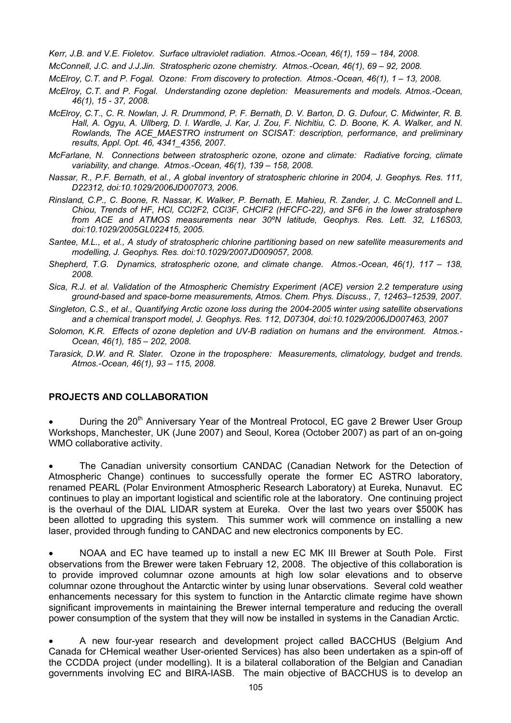*Kerr, J.B. and V.E. Fioletov. Surface ultraviolet radiation. Atmos.-Ocean, 46(1), 159 – 184, 2008.* 

*McConnell, J.C. and J.J.Jin. Stratospheric ozone chemistry. Atmos.-Ocean, 46(1), 69 – 92, 2008.* 

*McElroy, C.T. and P. Fogal. Ozone: From discovery to protection. Atmos.-Ocean, 46(1), 1 – 13, 2008.* 

- *McElroy, C.T. and P. Fogal. Understanding ozone depletion: Measurements and models. Atmos.-Ocean, 46(1), 15 - 37, 2008.*
- *McElroy, C.T., C. R. Nowlan, J. R. Drummond, P. F. Bernath, D. V. Barton, D. G. Dufour, C. Midwinter, R. B. Hall, A. Ogyu, A. Ullberg, D. I. Wardle, J. Kar, J. Zou, F. Nichitiu, C. D. Boone, K. A. Walker, and N. Rowlands, The ACE\_MAESTRO instrument on SCISAT: description, performance, and preliminary results, Appl. Opt. 46, 4341\_4356, 2007.*
- *McFarlane, N. Connections between stratospheric ozone, ozone and climate: Radiative forcing, climate variability, and change. Atmos.-Ocean, 46(1), 139 – 158, 2008.*
- *Nassar, R., P.F. Bernath, et al., A global inventory of stratospheric chlorine in 2004, J. Geophys. Res. 111, D22312, doi:10.1029/2006JD007073, 2006.*
- *Rinsland, C.P., C. Boone, R. Nassar, K. Walker, P. Bernath, E. Mahieu, R. Zander, J. C. McConnell and L. Chiou, Trends of HF, HCl, CCl2F2, CCl3F, CHClF2 (HFCFC-22), and SF6 in the lower stratosphere from ACE and ATMOS measurements near 30ºN latitude, Geophys. Res. Lett. 32, L16S03, doi:10.1029/2005GL022415, 2005.*
- *Santee, M.L., et al., A study of stratospheric chlorine partitioning based on new satellite measurements and modelling, J. Geophys. Res. doi:10.1029/2007JD009057, 2008.*
- *Shepherd, T.G. Dynamics, stratospheric ozone, and climate change. Atmos.-Ocean, 46(1), 117 138, 2008.*
- *Sica, R.J. et al. Validation of the Atmospheric Chemistry Experiment (ACE) version 2.2 temperature using ground-based and space-borne measurements, Atmos. Chem. Phys. Discuss., 7, 12463–12539, 2007.*
- *Singleton, C.S., et al., Quantifying Arctic ozone loss during the 2004-2005 winter using satellite observations and a chemical transport model, J. Geophys. Res. 112, D07304, doi:10.1029/2006JD007463, 2007*
- *Solomon, K.R. Effects of ozone depletion and UV-B radiation on humans and the environment. Atmos.- Ocean, 46(1), 185 – 202, 2008.*
- *Tarasick, D.W. and R. Slater. Ozone in the troposphere: Measurements, climatology, budget and trends. Atmos.-Ocean, 46(1), 93 – 115, 2008.*

## **PROJECTS AND COLLABORATION**

During the 20<sup>th</sup> Anniversary Year of the Montreal Protocol, EC gave 2 Brewer User Group Workshops, Manchester, UK (June 2007) and Seoul, Korea (October 2007) as part of an on-going WMO collaborative activity.

The Canadian university consortium CANDAC (Canadian Network for the Detection of Atmospheric Change) continues to successfully operate the former EC ASTRO laboratory, renamed PEARL (Polar Environment Atmospheric Research Laboratory) at Eureka, Nunavut. EC continues to play an important logistical and scientific role at the laboratory. One continuing project is the overhaul of the DIAL LIDAR system at Eureka. Over the last two years over \$500K has been allotted to upgrading this system. This summer work will commence on installing a new laser, provided through funding to CANDAC and new electronics components by EC.

• NOAA and EC have teamed up to install a new EC MK III Brewer at South Pole. First observations from the Brewer were taken February 12, 2008. The objective of this collaboration is to provide improved columnar ozone amounts at high low solar elevations and to observe columnar ozone throughout the Antarctic winter by using lunar observations. Several cold weather enhancements necessary for this system to function in the Antarctic climate regime have shown significant improvements in maintaining the Brewer internal temperature and reducing the overall power consumption of the system that they will now be installed in systems in the Canadian Arctic.

• A new four-year research and development project called BACCHUS (Belgium And Canada for CHemical weather User-oriented Services) has also been undertaken as a spin-off of the CCDDA project (under modelling). It is a bilateral collaboration of the Belgian and Canadian governments involving EC and BIRA-IASB. The main objective of BACCHUS is to develop an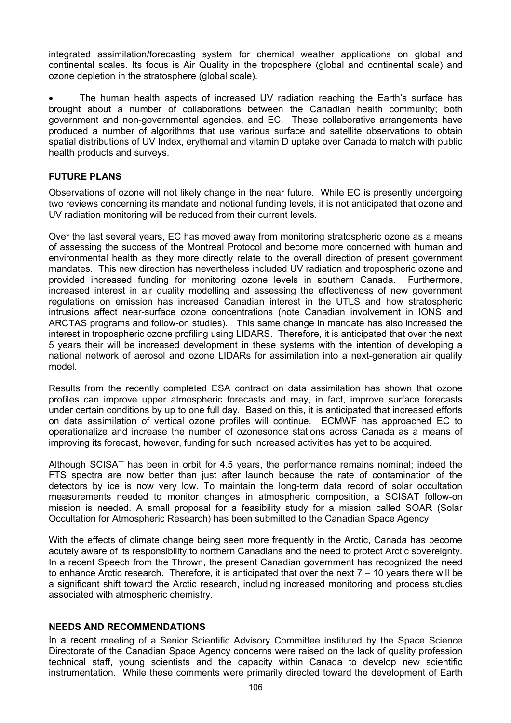integrated assimilation/forecasting system for chemical weather applications on global and continental scales. Its focus is Air Quality in the troposphere (global and continental scale) and ozone depletion in the stratosphere (global scale).

• The human health aspects of increased UV radiation reaching the Earth's surface has brought about a number of collaborations between the Canadian health community; both government and non-governmental agencies, and EC. These collaborative arrangements have produced a number of algorithms that use various surface and satellite observations to obtain spatial distributions of UV Index, erythemal and vitamin D uptake over Canada to match with public health products and surveys.

# **FUTURE PLANS**

Observations of ozone will not likely change in the near future. While EC is presently undergoing two reviews concerning its mandate and notional funding levels, it is not anticipated that ozone and UV radiation monitoring will be reduced from their current levels.

Over the last several years, EC has moved away from monitoring stratospheric ozone as a means of assessing the success of the Montreal Protocol and become more concerned with human and environmental health as they more directly relate to the overall direction of present government mandates. This new direction has nevertheless included UV radiation and tropospheric ozone and provided increased funding for monitoring ozone levels in southern Canada. Furthermore, increased interest in air quality modelling and assessing the effectiveness of new government regulations on emission has increased Canadian interest in the UTLS and how stratospheric intrusions affect near-surface ozone concentrations (note Canadian involvement in IONS and ARCTAS programs and follow-on studies). This same change in mandate has also increased the interest in tropospheric ozone profiling using LIDARS. Therefore, it is anticipated that over the next 5 years their will be increased development in these systems with the intention of developing a national network of aerosol and ozone LIDARs for assimilation into a next-generation air quality model.

Results from the recently completed ESA contract on data assimilation has shown that ozone profiles can improve upper atmospheric forecasts and may, in fact, improve surface forecasts under certain conditions by up to one full day. Based on this, it is anticipated that increased efforts on data assimilation of vertical ozone profiles will continue. ECMWF has approached EC to operationalize and increase the number of ozonesonde stations across Canada as a means of improving its forecast, however, funding for such increased activities has yet to be acquired.

Although SCISAT has been in orbit for 4.5 years, the performance remains nominal; indeed the FTS spectra are now better than just after launch because the rate of contamination of the detectors by ice is now very low. To maintain the long-term data record of solar occultation measurements needed to monitor changes in atmospheric composition, a SCISAT follow-on mission is needed. A small proposal for a feasibility study for a mission called SOAR (Solar Occultation for Atmospheric Research) has been submitted to the Canadian Space Agency.

With the effects of climate change being seen more frequently in the Arctic. Canada has become acutely aware of its responsibility to northern Canadians and the need to protect Arctic sovereignty. In a recent Speech from the Thrown, the present Canadian government has recognized the need to enhance Arctic research. Therefore, it is anticipated that over the next 7 – 10 years there will be a significant shift toward the Arctic research, including increased monitoring and process studies associated with atmospheric chemistry.

## **NEEDS AND RECOMMENDATIONS**

In a recent meeting of a Senior Scientific Advisory Committee instituted by the Space Science Directorate of the Canadian Space Agency concerns were raised on the lack of quality profession technical staff, young scientists and the capacity within Canada to develop new scientific instrumentation. While these comments were primarily directed toward the development of Earth